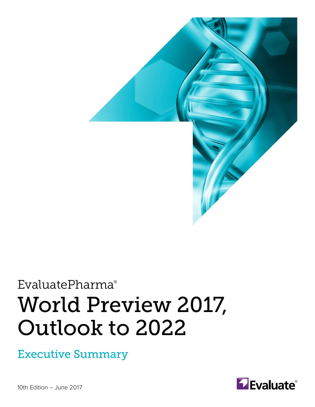

# EvaluatePharma® World Preview 2017, Outlook to 2022

Executive Summary



10th Edition – June 2017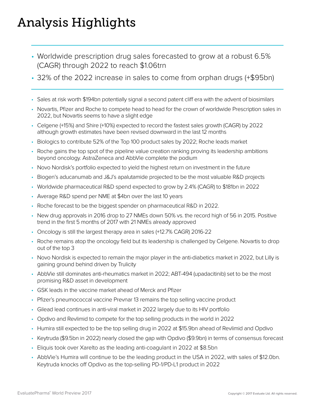# Analysis Highlights

- Worldwide prescription drug sales forecasted to grow at a robust 6.5% (CAGR) through 2022 to reach \$1.06trn
- 32% of the 2022 increase in sales to come from orphan drugs (+\$95bn)
- Sales at risk worth \$194bn potentially signal a second patent cliff era with the advent of biosimilars
- Novartis, Pfizer and Roche to compete head to head for the crown of worldwide Prescription sales in 2022, but Novartis seems to have a slight edge
- Celgene (+15%) and Shire (+10%) expected to record the fastest sales growth (CAGR) by 2022 although growth estimates have been revised downward in the last 12 months
- Biologics to contribute 52% of the Top 100 product sales by 2022; Roche leads market
- Roche gains the top spot of the pipeline value creation ranking proving its leadership ambitions beyond oncology. AstraZeneca and AbbVie complete the podium
- Novo Nordisk's portfolio expected to yield the highest return on investment in the future
- Biogen's aducanumab and J&J's apalutamide projected to be the most valuable R&D projects
- Worldwide pharmaceutical R&D spend expected to grow by 2.4% (CAGR) to \$181bn in 2022
- Average R&D spend per NME at \$4bn over the last 10 years
- Roche forecast to be the biggest spender on pharmaceutical R&D in 2022.
- New drug approvals in 2016 drop to 27 NMEs down 50% vs. the record high of 56 in 2015. Positive trend in the first 5 months of 2017 with 21 NMEs already approved
- Oncology is still the largest therapy area in sales (+12.7% CAGR) 2016-22
- Roche remains atop the oncology field but its leadership is challenged by Celgene. Novartis to drop out of the top 3
- Novo Nordisk is expected to remain the major player in the anti-diabetics market in 2022, but Lilly is gaining ground behind driven by Trulicity
- AbbVie still dominates anti-rheumatics market in 2022; ABT-494 (upadacitinib) set to be the most promising R&D asset in development
- GSK leads in the vaccine market ahead of Merck and Pfizer
- Pfizer's pneumococcal vaccine Prevnar 13 remains the top selling vaccine product
- Gilead lead continues in anti-viral market in 2022 largely due to its HIV portfolio
- Opdivo and Revlimid to compete for the top selling products in the world in 2022
- Humira still expected to be the top selling drug in 2022 at \$15.9bn ahead of Revlimid and Opdivo
- Keytruda (\$9.5bn in 2022) nearly closed the gap with Opdivo (\$9.9bn) in terms of consensus forecast
- Eliquis took over Xarelto as the leading anti-coagulant in 2022 at \$8.5bn
- AbbVie's Humira will continue to be the leading product in the USA in 2022, with sales of \$12.0bn. Keytruda knocks off Opdivo as the top-selling PD-1/PD-L1 product in 2022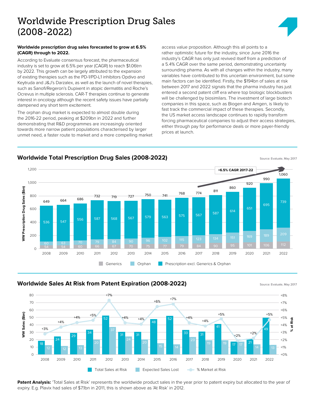# Worldwide Prescription Drug Sales (2008-2022)

#### **Worldwide prescription drug sales forecasted to grow at 6.5% (CAGR) through to 2022.**

According to Evaluate consensus forecast, the pharmaceutical industry is set to grow at 6.5% per year (CAGR) to reach \$1.06trn by 2022. This growth can be largely attributed to the expansion of existing therapies such as the PD-1/PD-L1 inhibitors Opdivo and Keytruda and J&J's Darzalex, as well as the launch of novel therapies, such as Sanofi/Regeron's Dupixent in atopic dermatitis and Roche's Ocrevus in multiple sclerosis. CAR-T therapies continue to generate interest in oncology although the recent safety issues have partially dampened any short term excitement.

The orphan drug market is expected to almost double during the 2016-22 period, peaking at \$209bn in 2022 and further demonstrating that R&D programmes are increasingly oriented towards more narrow patient populations characterised by larger unmet need, a faster route to market and a more compelling market access value proposition. Although this all points to a rather optimistic future for the industry, since June 2016 the industry's CAGR has only just revived itself from a prediction of a 5.4% CAGR over the same period, demonstrating uncertainty surrounding pharma. As with all changes within the industry, many variables have contributed to this uncertain environment, but some main factors can be identified. Firstly, the \$194bn of sales at risk between 2017 and 2022 signals that the pharma industry has just entered a second patent cliff era where top biologic blockbusters will be challenged by biosimilars. The investment of large biotech companies in this space, such as Biogen and Amgen, is likely to fast track the commercial impact of these therapies. Secondly, the US market access landscape continues to rapidly transform forcing pharmaceutical companies to adjust their access strategies, either through pay for performance deals or more payer-friendly prices at launch.



### **Worldwide Total Prescription Drug Sales (2008-2022)** Source: Evaluate, May 2017

## **Worldwide Sales At Risk from Patent Expiration (2008-2022)** Source: Evaluate, May 2017





Patent Analysis: 'Total Sales at Risk' represents the worldwide product sales in the year prior to patent expiry but allocated to the year of expiry. E.g. Plavix had sales of \$7.1bn in 2011, this is shown above as 'At Risk' in 2012.